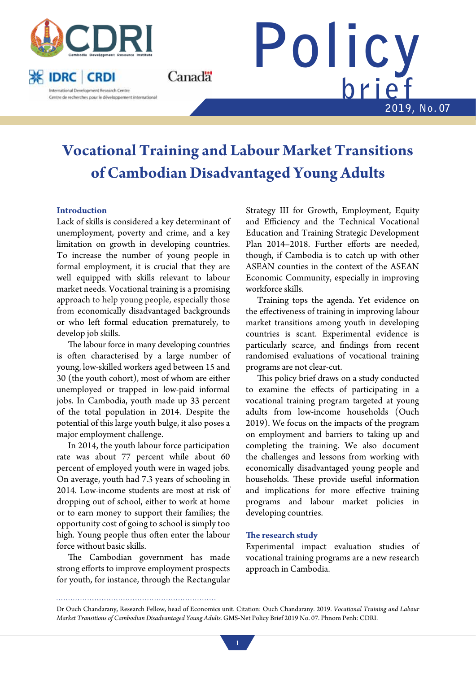

**※ IDRC CRDI** International Development Research Centre Centre de recherches pour le développement international



# **Vocational Training and Labour Market Transitions of Cambodian Disadvantaged Young Adults**

Canadä

## **Introduction**

Lack of skills is considered a key determinant of unemployment, poverty and crime, and a key limitation on growth in developing countries. To increase the number of young people in formal employment, it is crucial that they are well equipped with skills relevant to labour market needs. Vocational training is a promising approach to help young people, especially those from economically disadvantaged backgrounds or who left formal education prematurely, to develop job skills.

The labour force in many developing countries is often characterised by a large number of young, low-skilled workers aged between 15 and 30 (the youth cohort), most of whom are either unemployed or trapped in low-paid informal jobs. In Cambodia, youth made up 33 percent of the total population in 2014. Despite the potential of this large youth bulge, it also poses a major employment challenge.

In 2014, the youth labour force participation rate was about 77 percent while about 60 percent of employed youth were in waged jobs. On average, youth had 7.3 years of schooling in 2014. Low-income students are most at risk of dropping out of school, either to work at home or to earn money to support their families; the opportunity cost of going to school is simply too high. Young people thus often enter the labour force without basic skills.

The Cambodian government has made strong efforts to improve employment prospects for youth, for instance, through the Rectangular

Strategy III for Growth, Employment, Equity and Efficiency and the Technical Vocational Education and Training Strategic Development Plan 2014–2018. Further efforts are needed, though, if Cambodia is to catch up with other ASEAN counties in the context of the ASEAN Economic Community, especially in improving workforce skills.

Training tops the agenda. Yet evidence on the effectiveness of training in improving labour market transitions among youth in developing countries is scant. Experimental evidence is particularly scarce, and findings from recent randomised evaluations of vocational training programs are not clear-cut.

This policy brief draws on a study conducted to examine the effects of participating in a vocational training program targeted at young adults from low-income households (Ouch 2019). We focus on the impacts of the program on employment and barriers to taking up and completing the training. We also document the challenges and lessons from working with economically disadvantaged young people and households. These provide useful information and implications for more effective training programs and labour market policies in developing countries.

## **The research study**

Experimental impact evaluation studies of vocational training programs are a new research approach in Cambodia.

Dr Ouch Chandarany, Research Fellow, head of Economics unit. Citation: Ouch Chandarany. 2019. *Vocational Training and Labour Market Transitions of Cambodian Disadvantaged Young Adults.* GMS-Net Policy Brief 2019 No. 07. Phnom Penh: CDRI.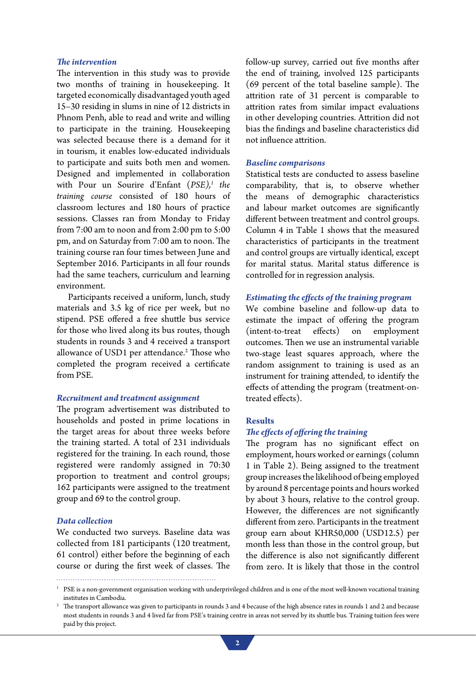#### *The intervention*

The intervention in this study was to provide two months of training in housekeeping. It targeted economically disadvantaged youth aged 15–30 residing in slums in nine of 12 districts in Phnom Penh, able to read and write and willing to participate in the training. Housekeeping was selected because there is a demand for it in tourism, it enables low-educated individuals to participate and suits both men and women. Designed and implemented in collaboration with Pour un Sourire d'Enfant (*PSE),1 the training course* consisted of 180 hours of classroom lectures and 180 hours of practice sessions. Classes ran from Monday to Friday from 7:00 am to noon and from 2:00 pm to 5:00 pm, and on Saturday from 7:00 am to noon. The training course ran four times between June and September 2016. Participants in all four rounds had the same teachers, curriculum and learning environment.

Participants received a uniform, lunch, study materials and 3.5 kg of rice per week, but no stipend. PSE offered a free shuttle bus service for those who lived along its bus routes, though students in rounds 3 and 4 received a transport allowance of USD1 per attendance.<sup>2</sup> Those who completed the program received a certificate from PSE.

### *Recruitment and treatment assignment*

The program advertisement was distributed to households and posted in prime locations in the target areas for about three weeks before the training started. A total of 231 individuals registered for the training. In each round, those registered were randomly assigned in 70:30 proportion to treatment and control groups; 162 participants were assigned to the treatment group and 69 to the control group.

## *Data collection*

We conducted two surveys. Baseline data was collected from 181 participants (120 treatment, 61 control) either before the beginning of each course or during the first week of classes. The follow-up survey, carried out five months after the end of training, involved 125 participants (69 percent of the total baseline sample). The attrition rate of 31 percent is comparable to attrition rates from similar impact evaluations in other developing countries. Attrition did not bias the findings and baseline characteristics did not influence attrition.

#### *Baseline comparisons*

Statistical tests are conducted to assess baseline comparability, that is, to observe whether the means of demographic characteristics and labour market outcomes are significantly different between treatment and control groups. Column 4 in Table 1 shows that the measured characteristics of participants in the treatment and control groups are virtually identical, except for marital status. Marital status difference is controlled for in regression analysis.

#### *Estimating the effects of the training program*

We combine baseline and follow-up data to estimate the impact of offering the program (intent-to-treat effects) on employment outcomes. Then we use an instrumental variable two-stage least squares approach, where the random assignment to training is used as an instrument for training attended, to identify the effects of attending the program (treatment-ontreated effects).

### **Results**

## *The effects of offering the training*

The program has no significant effect on employment, hours worked or earnings (column 1 in Table 2). Being assigned to the treatment group increases the likelihood of being employed by around 8 percentage points and hours worked by about 3 hours, relative to the control group. However, the differences are not significantly different from zero. Participants in the treatment group earn about KHR50,000 (USD12.5) per month less than those in the control group, but the difference is also not significantly different from zero. It is likely that those in the control

<sup>&</sup>lt;sup>1</sup> PSE is a non-government organisation working with underprivileged children and is one of the most well-known vocational training institutes in Cambodia.

<sup>&</sup>lt;sup>2</sup> The transport allowance was given to participants in rounds 3 and 4 because of the high absence rates in rounds 1 and 2 and because most students in rounds 3 and 4 lived far from PSE's training centre in areas not served by its shuttle bus. Training tuition fees were paid by this project.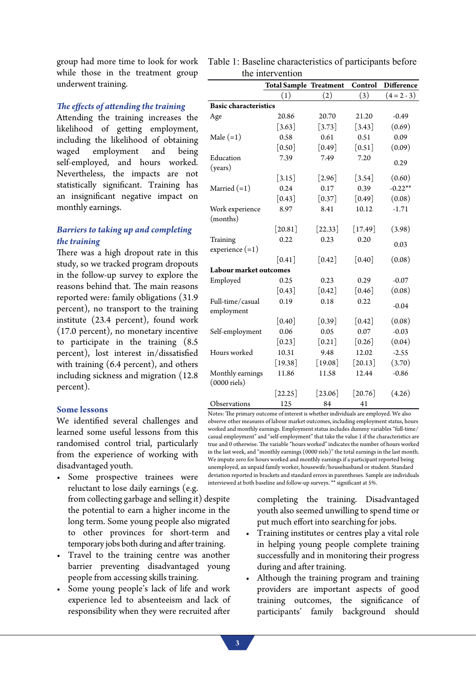group had more time to look for work while those in the treatment group underwent training.

## *The effects of attending the training*

Attending the training increases the likelihood of getting employment, including the likelihood of obtaining waged employment and being self-employed, and hours worked. Nevertheless, the impacts are not statistically significant. Training has an insignificant negative impact on monthly earnings.

# *Barriers to taking up and completing the training*

There was a high dropout rate in this study, so we tracked program dropouts in the follow-up survey to explore the reasons behind that. The main reasons reported were: family obligations (31.9 percent), no transport to the training institute (23.4 percent), found work (17.0 percent), no monetary incentive to participate in the training (8.5 percent), lost interest in/dissatisfied with training (6.4 percent), and others including sickness and migration (12.8 percent).

#### **Some lessons**

We identified several challenges and learned some useful lessons from this randomised control trial, particularly from the experience of working with disadvantaged youth.

- • Some prospective trainees were reluctant to lose daily earnings (e.g. from collecting garbage and selling it) despite the potential to earn a higher income in the long term. Some young people also migrated to other provinces for short-term and temporary jobs both during and after training.
- Travel to the training centre was another barrier preventing disadvantaged young people from accessing skills training.
- • Some young people's lack of life and work experience led to absenteeism and lack of responsibility when they were recruited after

| Table 1: Baseline characteristics of participants before |  |
|----------------------------------------------------------|--|
| the intervention                                         |  |

|                                       | <b>Total Sample Treatment</b> |                      | Control              | <b>Difference</b> |  |
|---------------------------------------|-------------------------------|----------------------|----------------------|-------------------|--|
|                                       | (1)                           | (2)                  | (3)                  | $(4 = 2 - 3)$     |  |
| <b>Basic characteristics</b>          |                               |                      |                      |                   |  |
| Age                                   | 20.86                         | 20.70                | 21.20                | $-0.49$           |  |
|                                       | $\lceil 3.63 \rceil$          | $[3.73]$             | $[3.43]$             | (0.69)            |  |
| Male $(=1)$                           | 0.58                          | 0.61                 | 0.51                 | 0.09              |  |
|                                       | $\lceil 0.50 \rceil$          | $[0.49]$             | $\lceil 0.51 \rceil$ | (0.09)            |  |
| Education<br>(years)                  | 7.39                          | 7.49                 | 7.20                 | 0.29              |  |
|                                       | $[3.15]$                      | $[2.96]$             | $[3.54]$             | (0.60)            |  |
| Married $(=1)$                        | 0.24                          | 0.17                 | 0.39                 | $-0.22**$         |  |
|                                       | $\lceil 0.43 \rceil$          | $\lceil 0.37 \rceil$ | $\lceil 0.49 \rceil$ | (0.08)            |  |
| Work experience<br>(months)           | 8.97                          | 8.41                 | 10.12                | $-1.71$           |  |
|                                       | $[20.81]$                     | $[22.33]$            | $[17.49]$            | (3.98)            |  |
| Training<br>experience $(=1)$         | 0.22                          | 0.23                 | 0.20                 | 0.03              |  |
|                                       | $\lceil 0.41 \rceil$          | $\lceil 0.42 \rceil$ | $\lceil 0.40 \rceil$ | (0.08)            |  |
| Labour market outcomes                |                               |                      |                      |                   |  |
| Employed                              | 0.25                          | 0.23                 | 0.29                 | $-0.07$           |  |
|                                       | $\lceil 0.43 \rceil$          | $\lceil 0.42 \rceil$ | $\lceil 0.46 \rceil$ | (0.08)            |  |
| Full-time/casual<br>employment        | 0.19                          | 0.18                 | 0.22                 | $-0.04$           |  |
|                                       | $\lceil 0.40 \rceil$          | $\lceil 0.39 \rceil$ | $\lceil 0.42 \rceil$ | (0.08)            |  |
| Self-employment                       | 0.06                          | 0.05                 | 0.07                 | $-0.03$           |  |
|                                       | $\lceil 0.23 \rceil$          | $\lceil 0.21 \rceil$ | $\lceil 0.26 \rceil$ | (0.04)            |  |
| Hours worked                          | 10.31                         | 9.48                 | 12.02                | $-2.55$           |  |
|                                       | $[19.38]$                     | $[19.08]$            | $[20.13]$            | (3.70)            |  |
| Monthly earnings<br>$(0000$ riels $)$ | 11.86                         | 11.58                | 12.44                | $-0.86$           |  |
|                                       | $[22.25]$                     | $[23.06]$            | $[20.76]$            | (4.26)            |  |
| Observations                          | 125                           | 84                   | 41                   |                   |  |

Notes: The primary outcome of interest is whether individuals are employed. We also observe other measures of labour market outcomes, including employment status, hours worked and monthly earnings. Employment status includes dummy variables "full-time/ casual employment" and "self-employment" that take the value 1 if the characteristics are true and 0 otherwise. The variable "hours worked" indicates the number of hours worked in the last week, and "monthly earnings (0000 riels)" the total earnings in the last month. We impute zero for hours worked and monthly earnings if a participant reported being unemployed, an unpaid family worker, housewife/househusband or student. Standard deviation reported in brackets and standard errors in parentheses. Sample are individuals interviewed at both baseline and follow-up surveys. \*\* significant at 5%.

> completing the training. Disadvantaged youth also seemed unwilling to spend time or put much effort into searching for jobs.

- Training institutes or centres play a vital role in helping young people complete training successfully and in monitoring their progress during and after training.
- Although the training program and training providers are important aspects of good training outcomes, the significance of participants' family background should